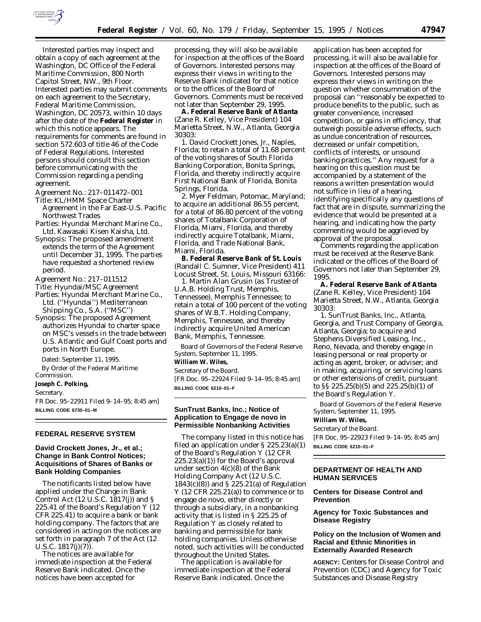

Interested parties may inspect and obtain a copy of each agreement at the Washington, DC Office of the Federal Maritime Commission, 800 North Capitol Street, NW., 9th Floor. Interested parties may submit comments on each agreement to the Secretary, Federal Maritime Commission, Washington, DC 20573, within 10 days after the date of the **Federal Register** in which this notice appears. The requirements for comments are found in section 572.603 of title 46 of the Code of Federal Regulations. Interested persons should consult this section before communicating with the Commission regarding a pending agreement.

*Agreement No.:* 217–011472–001 *Title:* KL/HMM Space Charter

Agreement in the Far East-U.S. Pacific Northwest Trades

*Parties:* Hyundai Merchant Marine Co., Ltd. Kawasaki Kisen Kaisha, Ltd.

*Synopsis:* The proposed amendment extends the term of the Agreement until December 31, 1995. The parties have requested a shortened review period.

*Agreement No.:* 217–011512

*Title:* Hyundai/MSC Agreement

*Parties:* Hyundai Merchant Marine Co., Ltd. (''Hyundai'') Mediterranean Shipping Co., S.A. (''MSC'')

*Synopsis:* The proposed Agreement authorizes Hyundai to charter space on MSC's vessels in the trade between U.S. Atlantic and Gulf Coast ports and ports in North Europe.

Dated: September 11, 1995.

By Order of the Federal Maritime Commission.

#### **Joseph C. Polking,**

*Secretary.*

FR Doc. 95–22911 Filed 9–14–95; 8:45 am] **BILLING CODE 6730–01–M**

#### **FEDERAL RESERVE SYSTEM**

# **David Crockett Jones, Jr., et al.; Change in Bank Control Notices; Acquisitions of Shares of Banks or Bank Holding Companies**

The notificants listed below have applied under the Change in Bank Control Act (12 U.S.C. 1817(j)) and § 225.41 of the Board's Regulation Y (12 CFR 225.41) to acquire a bank or bank holding company. The factors that are considered in acting on the notices are set forth in paragraph 7 of the Act (12 U.S.C. 1817(j)(7)).

The notices are available for immediate inspection at the Federal Reserve Bank indicated. Once the notices have been accepted for

processing, they will also be available for inspection at the offices of the Board of Governors. Interested persons may express their views in writing to the Reserve Bank indicated for that notice or to the offices of the Board of Governors. Comments must be received not later than September 29, 1995.

**A. Federal Reserve Bank of Atlanta** (Zane R. Kelley, Vice President) 104 Marietta Street, N.W., Atlanta, Georgia 30303:

*1. David Crockett Jones, Jr.*, Naples, Florida; to retain a total of 11.68 percent of the voting shares of South Florida Banking Corporation, Bonita Springs, Florida, and thereby indirectly acquire First National Bank of Florida, Bonita Springs, Florida.

*2. Myer Feldman*, Potomac, Maryland; to acquire an additional 86.55 percent, for a total of 86.80 percent of the voting shares of Totalbank Corporation of Florida, Miami, Florida, and thereby indirectly acquire Totalbank, Miami, Florida, and Trade National Bank, Miami, Florida.

**B. Federal Reserve Bank of St. Louis** (Randall C. Sumner, Vice President) 411 Locust Street, St. Louis, Missouri 63166:

*1. Martin Alan Grusin (as Trustee of U.A.B. Holding Trust, Memphis, Tennessee)*, Memphis Tennessee; to retain a total of 100 percent of the voting shares of W.B.T. Holding Company, Memphis, Tennessee, and thereby indirectly acquire United American Bank, Memphis, Tennessee.

Board of Governors of the Federal Reserve System, September 11, 1995.

# **William W. Wiles,**

*Secretary of the Board.* [FR Doc. 95–22924 Filed 9–14–95; 8:45 am] **BILLING CODE 6210–01–F**

## **SunTrust Banks, Inc.; Notice of Application to Engage de novo in Permissible Nonbanking Activities**

The company listed in this notice has filed an application under § 225.23(a)(1) of the Board's Regulation Y (12 CFR  $225.23(a)(1)$  for the Board's approval under section 4(c)(8) of the Bank Holding Company Act (12 U.S.C. 1843(c)(8)) and § 225.21(a) of Regulation Y (12 CFR 225.21(a)) to commence or to engage *de novo*, either directly or through a subsidiary, in a nonbanking activity that is listed in § 225.25 of Regulation Y as closely related to banking and permissible for bank holding companies. Unless otherwise noted, such activities will be conducted throughout the United States.

The application is available for immediate inspection at the Federal Reserve Bank indicated. Once the

application has been accepted for processing, it will also be available for inspection at the offices of the Board of Governors. Interested persons may express their views in writing on the question whether consummation of the proposal can ''reasonably be expected to produce benefits to the public, such as greater convenience, increased competition, or gains in efficiency, that outweigh possible adverse effects, such as undue concentration of resources, decreased or unfair competition, conflicts of interests, or unsound banking practices.'' Any request for a hearing on this question must be accompanied by a statement of the reasons a written presentation would not suffice in lieu of a hearing, identifying specifically any questions of fact that are in dispute, summarizing the evidence that would be presented at a hearing, and indicating how the party commenting would be aggrieved by approval of the proposal.

Comments regarding the application must be received at the Reserve Bank indicated or the offices of the Board of Governors not later than September 29, 1995.

**A. Federal Reserve Bank of Atlanta** (Zane R. Kelley, Vice President) 104 Marietta Street, N.W., Atlanta, Georgia 30303:

*1. SunTrust Banks, Inc.*, Atlanta, Georgia, and Trust Company of Georgia, Atlanta, Georgia; to acquire and Stephens Diversified Leasing, Inc., Reno, Nevada, and thereby engage in leasing personal or real property or acting as agent, broker, or adviser; and in making, acquiring, or servicing loans or other extensions of credit, pursuant to §§ 225.25(b)(5) and 225.25(b)(1) of the Board's Regulation Y.

Board of Governors of the Federal Reserve System, September 11, 1995.

#### **William W. Wiles,**

*Secretary of the Board.* [FR Doc. 95–22923 Filed 9–14–95; 8:45 am] **BILLING CODE 6210–01–F**

# **DEPARTMENT OF HEALTH AND HUMAN SERVICES**

# **Centers for Disease Control and Prevention**

**Agency for Toxic Substances and Disease Registry**

# **Policy on the Inclusion of Women and Racial and Ethnic Minorities in Externally Awarded Research**

**AGENCY:** Centers for Disease Control and Prevention (CDC) and Agency for Toxic Substances and Disease Registry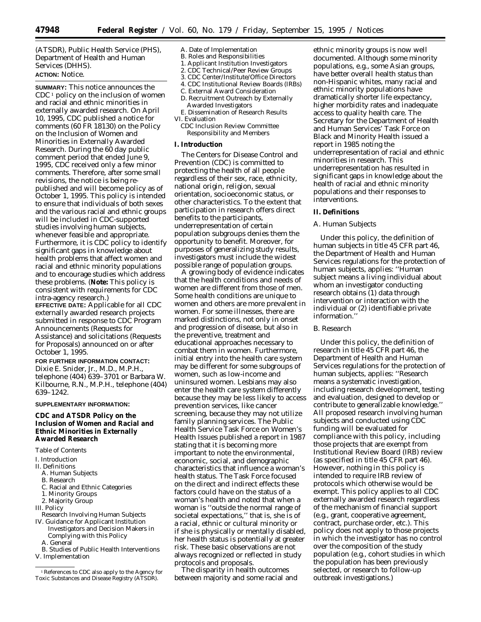(ATSDR), Public Health Service (PHS), Department of Health and Human Services (DHHS). **ACTION:** Notice.

**SUMMARY:** This notice announces the  $CDC<sup>1</sup>$  policy on the inclusion of women and racial and ethnic minorities in externally awarded research. On April 10, 1995, CDC published a notice for comments (60 FR 18130) on the Policy on the Inclusion of Women and Minorities in Externally Awarded Research. During the 60 day public comment period that ended June 9, 1995, CDC received only a few minor comments. Therefore, after some small revisions, the notice is being republished and will become policy as of October 1, 1995. This policy is intended to ensure that individuals of both sexes and the various racial and ethnic groups will be included in CDC-supported studies involving human subjects, whenever feasible and appropriate. Furthermore, it is CDC policy to identify significant gaps in knowledge about health problems that affect women and racial and ethnic minority populations and to encourage studies which address these problems. (**Note:** This policy is consistent with requirements for CDC intra-agency research.) **EFFECTIVE DATE:** Applicable for all CDC externally awarded research projects submitted in response to CDC Program

Announcements (Requests for Assistance) and solicitations (Requests for Proposals) announced on or after October 1, 1995.

**FOR FURTHER INFORMATION CONTACT:** Dixie E. Snider, Jr., M.D., M.P.H., telephone (404) 639–3701 or Barbara W. Kilbourne, R.N., M.P.H., telephone (404) 639–1242.

#### **SUPPLEMENTARY INFORMATION:**

# **CDC and ATSDR Policy on the Inclusion of Women and Racial and Ethnic Minorities in Externally Awarded Research**

*Table of Contents*

- I. Introduction
- II. Definitions
	- A. Human Subjects
	- B. Research
	- C. Racial and Ethnic Categories
	- 1. Minority Groups
	- 2. Majority Group
- III. Policy
- Research Involving Human Subjects
- IV. Guidance for Applicant Institution Investigators and Decision Makers in Complying with this Policy
	- A. General
- B. Studies of Public Health Interventions V. Implementation

A. Date of Implementation

- B. Roles and Responsibilities
- 1. Applicant Institution Investigators 2. CDC Technical/Peer Review Groups
- 3. CDC Center/Institute/Office Directors
- 4. CDC Institutional Review Boards (IRBs)
- C. External Award Consideration
- D. Recruitment Outreach by Externally
- Awarded Investigators
- E. Dissemination of Research Results VI. Evaluation
	- CDC Inclusion Review Committee Responsibility and Members

#### **I. Introduction**

The Centers for Disease Control and Prevention (CDC) is committed to protecting the health of all people regardless of their sex, race, ethnicity, national origin, religion, sexual orientation, socioeconomic status, or other characteristics. To the extent that participation in research offers direct benefits to the participants, underrepresentation of certain population subgroups denies them the opportunity to benefit. Moreover, for purposes of generalizing study results, investigators must include the widest possible range of population groups.

A growing body of evidence indicates that the health conditions and needs of women are different from those of men. Some health conditions are unique to women and others are more prevalent in women. For some illnesses, there are marked distinctions, not only in onset and progression of disease, but also in the preventive, treatment and educational approaches necessary to combat them in women. Furthermore, initial entry into the health care system may be different for some subgroups of women, such as low-income and uninsured women. Lesbians may also enter the health care system differently because they may be less likely to access prevention services, like cancer screening, because they may not utilize family planning services. The Public Health Service Task Force on Women's Health Issues published a report in 1987 stating that it is becoming more important to note the environmental, economic, social, and demographic characteristics that influence a woman's health status. The Task Force focused on the direct and indirect effects these factors could have on the status of a woman's health and noted that when a woman is ''outside the normal range of societal expectations,'' that is, she is of a racial, ethnic or cultural minority or if she is physically or mentally disabled, her health status is potentially at greater risk. These basic observations are not always recognized or reflected in study protocols and proposals.

The disparity in health outcomes between majority and some racial and

ethnic minority groups is now well documented. Although some minority populations, e.g., some Asian groups, have better overall health status than non-Hispanic whites, many racial and ethnic minority populations have dramatically shorter life expectancy, higher morbidity rates and inadequate access to quality health care. The Secretary for the Department of Health and Human Services' Task Force on Black and Minority Health issued a report in 1985 noting the underrepresentation of racial and ethnic minorities in research. This underrepresentation has resulted in significant gaps in knowledge about the health of racial and ethnic minority populations and their responses to interventions.

#### **II. Definitions**

## *A. Human Subjects*

Under this policy, the definition of human subjects in title 45 CFR part 46, the Department of Health and Human Services regulations for the protection of human subjects, applies: ''Human subject means a living individual about whom an investigator conducting research obtains (1) data through intervention or interaction with the individual or (2) identifiable private information.''

#### *B. Research*

Under this policy, the definition of research in title 45 CFR part 46, the Department of Health and Human Services regulations for the protection of human subjects, applies: ''Research means a systematic investigation, including research development, testing and evaluation, designed to develop or contribute to generalizable knowledge.'' All proposed research involving human subjects and conducted using CDC funding will be evaluated for compliance with this policy, including those projects that are exempt from Institutional Review Board (IRB) review (as specified in title 45 CFR part 46). However, nothing in this policy is intended to require IRB review of protocols which otherwise would be exempt. This policy applies to all CDC externally awarded research regardless of the mechanism of financial support (e.g., grant, cooperative agreement, contract, purchase order, etc.). This policy does not apply to those projects in which the investigator has no control over the composition of the study population (e.g., cohort studies in which the population has been previously selected, or research to follow-up outbreak investigations.)

<sup>1</sup>References to CDC also apply to the Agency for Toxic Substances and Disease Registry (ATSDR).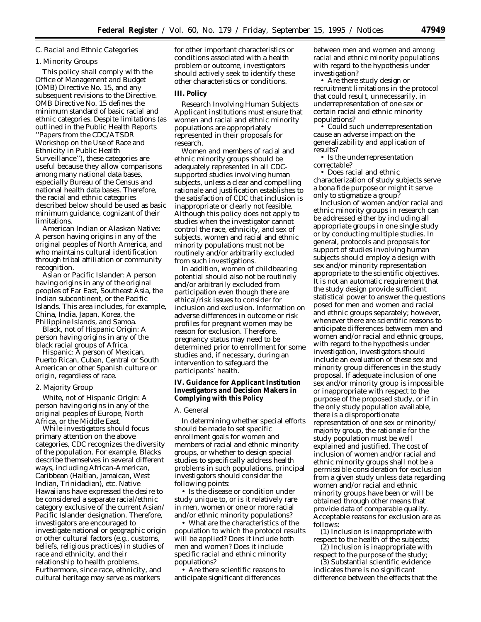#### *C. Racial and Ethnic Categories*

#### 1. Minority Groups

This policy shall comply with the Office of Management and Budget (OMB) Directive No. 15, and any subsequent revisions to the Directive. OMB Directive No. 15 defines the minimum standard of basic racial and ethnic categories. Despite limitations (as outlined in the Public Health Reports ''Papers from the CDC/ATSDR Workshop on the Use of Race and Ethnicity in Public Health Surveillance''), these categories are useful because they allow comparisons among many national data bases, especially Bureau of the Census and national health data bases. Therefore, the racial and ethnic categories described below should be used as basic minimum guidance, cognizant of their limitations.

*American Indian or Alaskan Native:* A person having origins in any of the original peoples of North America, and who maintains cultural identification through tribal affiliation or community recognition.

*Asian or Pacific Islander:* A person having origins in any of the original peoples of Far East, Southeast Asia, the Indian subcontinent, or the Pacific Islands. This area includes, for example, China, India, Japan, Korea, the Philippine Islands, and Samoa.

*Black, not of Hispanic Origin:* A person having origins in any of the black racial groups of Africa.

*Hispanic:* A person of Mexican, Puerto Rican, Cuban, Central or South American or other Spanish culture or origin, regardless of race.

### 2. Majority Group

*White, not of Hispanic Origin:* A person having origins in any of the original peoples of Europe, North Africa, or the Middle East.

While investigators should focus primary attention on the above categories, CDC recognizes the diversity of the population. For example, Blacks describe themselves in several different ways, including African-American, Caribbean (Haitian, Jamaican, West Indian, Trinidadian), etc. Native Hawaiians have expressed the desire to be considered a separate racial/ethnic category exclusive of the current Asian/ Pacific Islander designation. Therefore, investigators are encouraged to investigate national or geographic origin or other cultural factors (e.g., customs, beliefs, religious practices) in studies of race and ethnicity, and their relationship to health problems. Furthermore, since race, ethnicity, and cultural heritage may serve as markers

for other important characteristics or conditions associated with a health problem or outcome, investigators should actively seek to identify these other characteristics or conditions.

# **III. Policy**

*Research Involving Human Subjects* Applicant institutions must ensure that women and racial and ethnic minority populations are appropriately represented in their proposals for research.

Women and members of racial and ethnic minority groups should be adequately represented in all CDCsupported studies involving human subjects, unless a clear and compelling rationale and justification establishes to the satisfaction of CDC that inclusion is inappropriate or clearly not feasible. Although this policy does not apply to studies when the investigator cannot control the race, ethnicity, and sex of subjects, women and racial and ethnic minority populations must not be routinely and/or arbitrarily excluded from such investigations.

In addition, women of childbearing potential should also not be routinely and/or arbitrarily excluded from participation even though there are ethical/risk issues to consider for inclusion and exclusion. Information on adverse differences in outcome or risk profiles for pregnant women may be reason for exclusion. Therefore, pregnancy status may need to be determined prior to enrollment for some studies and, if necessary, during an intervention to safeguard the participants' health.

# **IV. Guidance for Applicant Institution Investigators and Decision Makers in Complying with this Policy**

## *A. General*

In determining whether special efforts should be made to set specific enrollment goals for women and members of racial and ethnic minority groups, or whether to design special studies to specifically address health problems in such populations, principal investigators should consider the following points:

• Is the disease or condition under study unique to, or is it relatively rare in men, women or one or more racial and/or ethnic minority populations?

• What are the characteristics of the population to which the protocol results will be applied? Does it include both men and women? Does it include specific racial and ethnic minority populations?

• Are there scientific reasons to anticipate significant differences

between men and women and among racial and ethnic minority populations with regard to the hypothesis under investigation?

• Are there study design or recruitment limitations in the protocol that could result, unnecessarily, in underrepresentation of one sex or certain racial and ethnic minority populations?

• Could such underrepresentation cause an adverse impact on the generalizability and application of results?

• Is the underrepresentation correctable?

• Does racial and ethnic characterization of study subjects serve a bona fide purpose or might it serve only to stigmatize a group?

Inclusion of women and/or racial and ethnic minority groups in research can be addressed either by including all appropriate groups in one single study or by conducting multiple studies. In general, protocols and proposals for support of studies involving human subjects should employ a design with sex and/or minority representation appropriate to the scientific objectives. It is not an automatic requirement that the study design provide sufficient statistical power to answer the questions posed for men and women and racial and ethnic groups separately; however, whenever there are scientific reasons to anticipate differences between men and women and/or racial and ethnic groups, with regard to the hypothesis under investigation, investigators should include an evaluation of these sex and minority group differences in the study proposal. If adequate inclusion of one sex and/or minority group is impossible or inappropriate with respect to the purpose of the proposed study, or if in the only study population available, there is a disproportionate representation of one sex or minority/ majority group, the rationale for the study population must be well explained and justified. The cost of inclusion of women and/or racial and ethnic minority groups shall not be a permissible consideration for exclusion from a given study unless data regarding women and/or racial and ethnic minority groups have been or will be obtained through other means that provide data of comparable quality. Acceptable reasons for exclusion are as follows:

(1) Inclusion is inappropriate with respect to the health of the subjects; (2) Inclusion is inappropriate with

respect to the purpose of the study; (3) Substantial scientific evidence

indicates there is no significant difference between the effects that the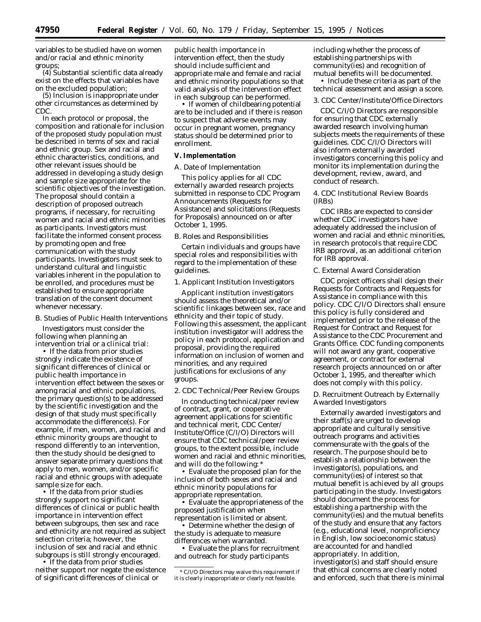variables to be studied have on women and/or racial and ethnic minority groups;

(4) Substantial scientific data already exist on the effects that variables have on the excluded population;

(5) Inclusion is inappropriate under other circumstances as determined by CDC.

In each protocol or proposal, the composition and rationale for inclusion of the proposed study population must be described in terms of sex and racial and ethnic group. Sex and racial and ethnic characteristics, conditions, and other relevant issues should be addressed in developing a study design and sample size appropriate for the scientific objectives of the investigation. The proposal should contain a description of proposed outreach programs, if necessary, for recruiting women and racial and ethnic minorities as participants. Investigators must facilitate the informed consent process by promoting open and free communication with the study participants. Investigators must seek to understand cultural and linguistic variables inherent in the population to be enrolled, and procedures must be established to ensure appropriate translation of the consent document whenever necessary.

#### *B. Studies of Public Health Interventions*

Investigators must consider the following when planning an intervention trial or a clinical trial:

• If the data from prior studies strongly indicate the existence of significant differences of clinical or public health importance in intervention effect between the sexes or among racial and ethnic populations, the primary question(s) to be addressed by the scientific investigation and the design of that study must specifically accommodate the difference(s). For example, if men, women, and racial and ethnic minority groups are thought to respond differently to an intervention, then the study should be designed to answer separate primary questions that apply to men, women, and/or specific racial and ethnic groups with adequate sample size for each.

• If the data from prior studies strongly support no significant differences of clinical or public health importance in intervention effect between subgroups, then sex and race and ethnicity are not required as subject selection criteria; however, the inclusion of sex and racial and ethnic subgroups is still strongly encouraged.

• If the data from prior studies neither support nor negate the existence of significant differences of clinical or

public health importance in intervention effect, then the study should include sufficient and appropriate male and female and racial and ethnic minority populations so that valid analysis of the intervention effect in each subgroup can be performed.

• If women of childbearing potential are to be included and if there is reason to suspect that adverse events may occur in pregnant women, pregnancy status should be determined prior to enrollment.

## **V. Implementation**

# *A. Date of Implementation*

This policy applies for all CDC externally awarded research projects submitted in response to CDC Program Announcements (Requests for Assistance) and solicitations (Requests for Proposals) announced on or after October 1, 1995.

# *B. Roles and Responsibilities*

Certain individuals and groups have special roles and responsibilities with regard to the implementation of these guidelines.

#### 1. Applicant Institution Investigators

Applicant institution investigators should assess the theoretical and/or scientific linkages between sex, race and ethnicity and their topic of study. Following this assessment, the applicant institution investigator will address the policy in each protocol, application and proposal, providing the required information on inclusion of women and minorities, and any required justifications for exclusions of any groups.

#### 2. CDC Technical/Peer Review Groups

In conducting technical/peer review of contract, grant, or cooperative agreement applications for scientific and technical merit, CDC Center/ Institute/Office (C/I/O) Directors will ensure that CDC technical/peer review groups, to the extent possible, include women and racial and ethnic minorities, and will do the following: \*

• Evaluate the proposed plan for the inclusion of both sexes and racial and ethnic minority populations for appropriate representation.

• Evaluate the appropriateness of the proposed justification when representation is limited or absent.

• Determine whether the design of the study is adequate to measure differences when warranted.

• Evaluate the plans for recruitment and outreach for study participants

including whether the process of establishing partnerships with community(ies) and recognition of mutual benefits will be documented.

• Include these criteria as part of the technical assessment and assign a score.

#### 3. CDC Center/Institute/Office Directors

CDC C/I/O Directors are responsible for ensuring that CDC externally awarded research involving human subjects meets the requirements of these guidelines. CDC C/I/O Directors will also inform externally awarded investigators concerning this policy and monitor its implementation during the development, review, award, and conduct of research.

## 4. CDC Institutional Review Boards (IRBs)

CDC IRBs are expected to consider whether CDC investigators have adequately addressed the inclusion of women and racial and ethnic minorities, in research protocols that require CDC IRB approval, as an additional criterion for IRB approval.

## *C. External Award Consideration*

CDC project officers shall design their Requests for Contracts and Requests for Assistance in compliance with this policy. CDC C/I/O Directors shall ensure this policy is fully considered and implemented prior to the release of the Request for Contract and Request for Assistance to the CDC Procurement and Grants Office. CDC funding components will not award any grant, cooperative agreement, or contract for external research projects announced on or after October 1, 1995, and thereafter which does not comply with this policy.

#### *D. Recruitment Outreach by Externally Awarded Investigators*

Externally awarded investigators and their staff(s) are urged to develop appropriate and culturally sensitive outreach programs and activities commensurate with the goals of the research. The purpose should be to establish a relationship between the investigator(s), populations, and community(ies) of interest so that mutual benefit is achieved by all groups participating in the study. Investigators should document the process for establishing a partnership with the community(ies) and the mutual benefits of the study and ensure that any factors (e.g., educational level, nonproficiency in English, low socioeconomic status) are accounted for and handled appropriately. In addition, investigator(s) and staff should ensure that ethical concerns are clearly noted and enforced, such that there is minimal

<sup>\*</sup>C/I/O Directors may waive this requirement if it is clearly inappropriate or clearly not feasible.